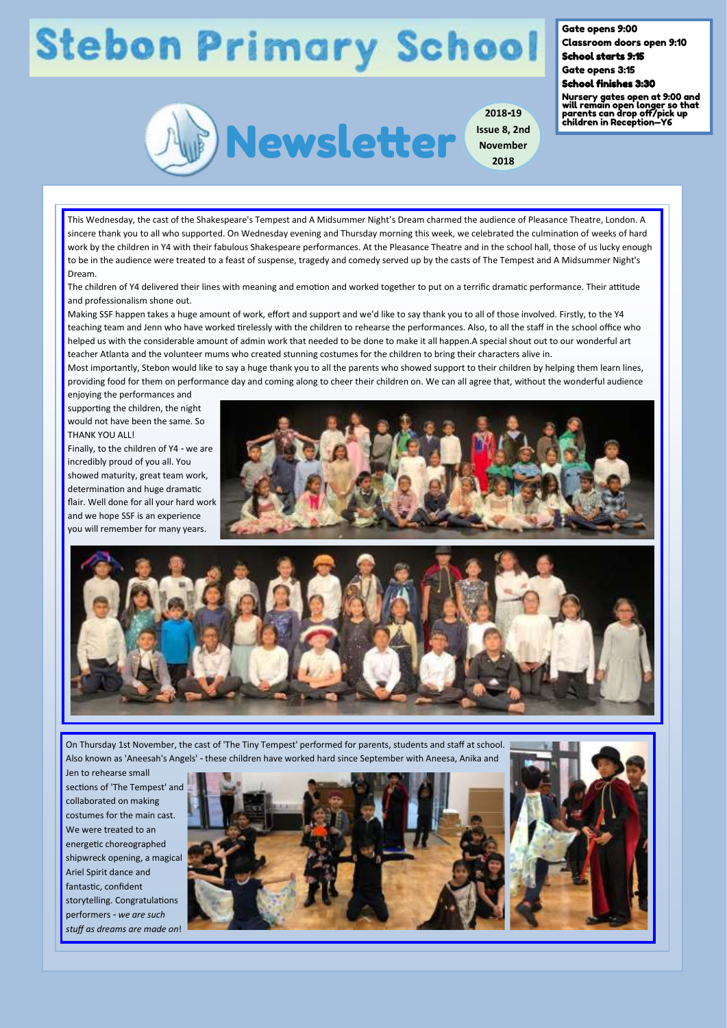## **Stebon Primary School**

Gate opens 9:00 Classroom doors open 9:10

School starts 9:15 Gate opens 3:15

## School finishes 3:30

**2018-19**

**2018**

Nursery gates open at 9:00 and will remain open longer so that parents can drop off/pick up children in Reception—Y6



This Wednesday, the cast of the Shakespeare's Tempest and A Midsummer Night's Dream charmed the audience of Pleasance Theatre, London. A sincere thank you to all who supported. On Wednesday evening and Thursday morning this week, we celebrated the culmination of weeks of hard work by the children in Y4 with their fabulous Shakespeare performances. At the Pleasance Theatre and in the school hall, those of us lucky enough to be in the audience were treated to a feast of suspense, tragedy and comedy served up by the casts of The Tempest and A Midsummer Night's Dream.

The children of Y4 delivered their lines with meaning and emotion and worked together to put on a terrific dramatic performance. Their attitude and professionalism shone out.

Making SSF happen takes a huge amount of work, effort and support and we'd like to say thank you to all of those involved. Firstly, to the Y4 teaching team and Jenn who have worked tirelessly with the children to rehearse the performances. Also, to all the staff in the school office who helped us with the considerable amount of admin work that needed to be done to make it all happen.A special shout out to our wonderful art teacher Atlanta and the volunteer mums who created stunning costumes for the children to bring their characters alive in.

Most importantly, Stebon would like to say a huge thank you to all the parents who showed support to their children by helping them learn lines, providing food for them on performance day and coming along to cheer their children on. We can all agree that, without the wonderful audience enjoying the performances and

supporting the children, the night would not have been the same. So THANK YOU ALL!

Finally, to the children of Y4 - we are incredibly proud of you all. You showed maturity, great team work, determination and huge dramatic flair. Well done for all your hard work and we hope SSF is an experience you will remember for many years.





On Thursday 1st November, the cast of 'The Tiny Tempest' performed for parents, students and staff at school. Also known as 'Aneesah's Angels' - these children have worked hard since September with Aneesa, Anika and

Jen to rehearse small sections of 'The Tempest' and collaborated on making costumes for the main cast. We were treated to an energetic choreographed shipwreck opening, a magical Ariel Spirit dance and fantastic, confident storytelling. Congratulations performers - *we are such stuff as dreams are made on*!